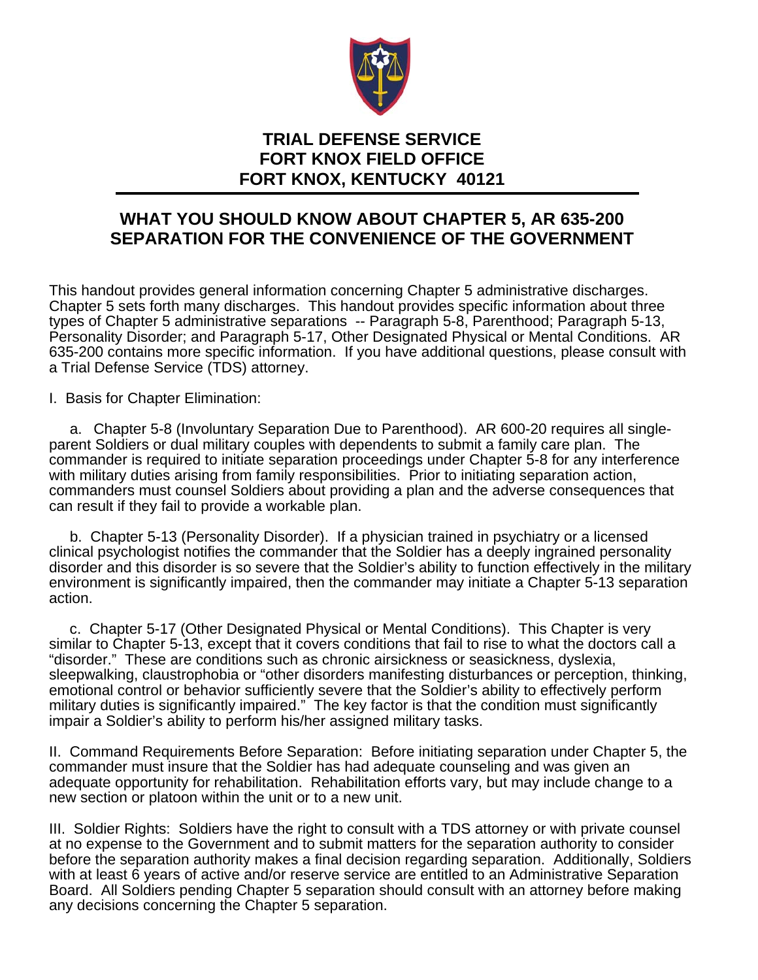

## **TRIAL DEFENSE SERVICE FORT KNOX FIELD OFFICE FORT KNOX, KENTUCKY 40121**

## **WHAT YOU SHOULD KNOW ABOUT CHAPTER 5, AR 635-200 SEPARATION FOR THE CONVENIENCE OF THE GOVERNMENT**

This handout provides general information concerning Chapter 5 administrative discharges. Chapter 5 sets forth many discharges. This handout provides specific information about three types of Chapter 5 administrative separations -- Paragraph 5-8, Parenthood; Paragraph 5-13, Personality Disorder; and Paragraph 5-17, Other Designated Physical or Mental Conditions. AR 635-200 contains more specific information. If you have additional questions, please consult with a Trial Defense Service (TDS) attorney.

I. Basis for Chapter Elimination:

 a. Chapter 5-8 (Involuntary Separation Due to Parenthood). AR 600-20 requires all singleparent Soldiers or dual military couples with dependents to submit a family care plan. The commander is required to initiate separation proceedings under Chapter 5-8 for any interference with military duties arising from family responsibilities. Prior to initiating separation action, commanders must counsel Soldiers about providing a plan and the adverse consequences that can result if they fail to provide a workable plan.

 b. Chapter 5-13 (Personality Disorder). If a physician trained in psychiatry or a licensed clinical psychologist notifies the commander that the Soldier has a deeply ingrained personality disorder and this disorder is so severe that the Soldier's ability to function effectively in the military environment is significantly impaired, then the commander may initiate a Chapter 5-13 separation action.

 c. Chapter 5-17 (Other Designated Physical or Mental Conditions). This Chapter is very similar to Chapter 5-13, except that it covers conditions that fail to rise to what the doctors call a "disorder." These are conditions such as chronic airsickness or seasickness, dyslexia, sleepwalking, claustrophobia or "other disorders manifesting disturbances or perception, thinking, emotional control or behavior sufficiently severe that the Soldier's ability to effectively perform military duties is significantly impaired." The key factor is that the condition must significantly impair a Soldier's ability to perform his/her assigned military tasks.

II. Command Requirements Before Separation: Before initiating separation under Chapter 5, the commander must insure that the Soldier has had adequate counseling and was given an adequate opportunity for rehabilitation. Rehabilitation efforts vary, but may include change to a new section or platoon within the unit or to a new unit.

III. Soldier Rights: Soldiers have the right to consult with a TDS attorney or with private counsel at no expense to the Government and to submit matters for the separation authority to consider before the separation authority makes a final decision regarding separation. Additionally, Soldiers with at least 6 years of active and/or reserve service are entitled to an Administrative Separation Board. All Soldiers pending Chapter 5 separation should consult with an attorney before making any decisions concerning the Chapter 5 separation.